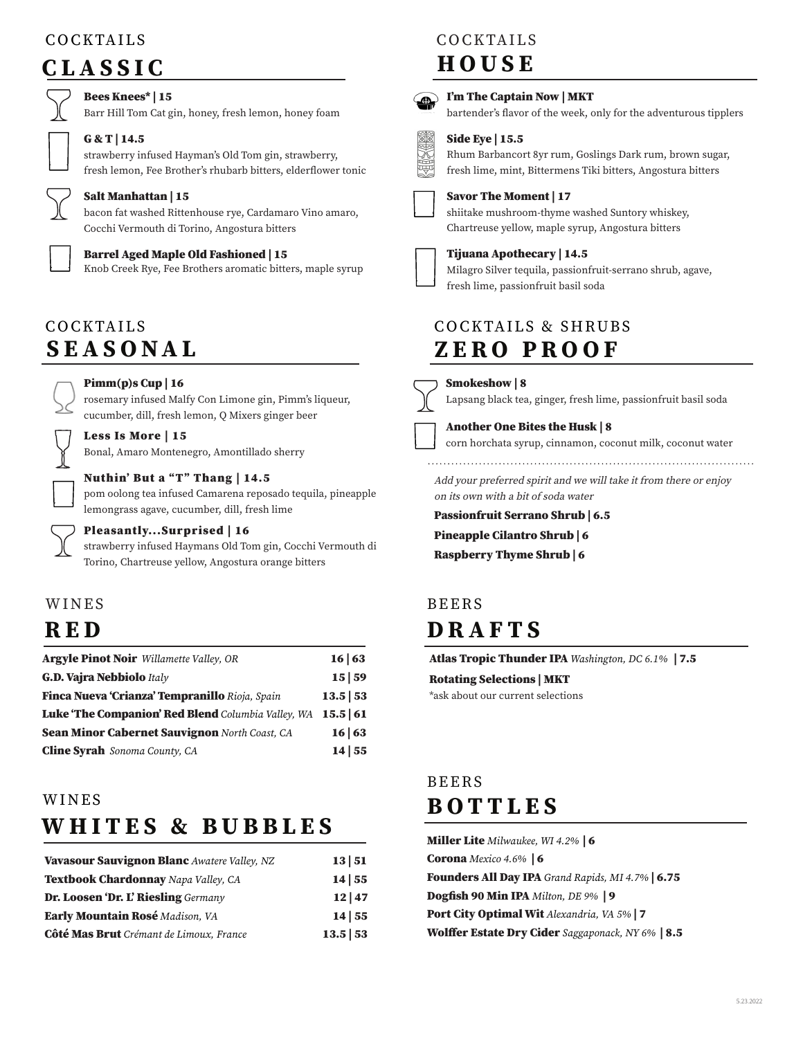# COCKTAILS

# CLASSIC

## Bees Knees\* | 15

Barr Hill Tom Cat gin, honey, fresh lemon, honey foam

#### G & T | 14.5

strawberry infused Hayman's Old Tom gin, strawberry, fresh lemon, Fee Brother's rhubarb bitters, elderflower tonic

Salt Manhattan | 15

bacon fat washed Rittenhouse rye, Cardamaro Vino amaro, Cocchi Vermouth di Torino, Angostura bitters

## Barrel Aged Maple Old Fashioned | 15

Knob Creek Rye, Fee Brothers aromatic bitters, maple syrup

# SEASONAL COCKTAILS

#### Pimm(p)s Cup | 16

Less Is More | 15

rosemary infused Malfy Con Limone gin, Pimm's liqueur, cucumber, dill, fresh lemon, Q Mixers ginger beer

Bonal, Amaro Montenegro, Amontillado sherry

### Nuthin' But a "T" Thang | 14.5

pom oolong tea infused Camarena reposado tequila, pineapple lemongrass agave, cucumber, dill, fresh lime

### Pleasantly...Surprised | 16

strawberry infused Haymans Old Tom gin, Cocchi Vermouth di Torino, Chartreuse yellow, Angostura orange bitters

# WINES

# **RED**

| <b>Argyle Pinot Noir</b> Willamette Valley, OR       | 16 63   |
|------------------------------------------------------|---------|
| <b>G.D. Vajra Nebbiolo</b> Italy                     | 15 59   |
| Finca Nueva 'Crianza' Tempranillo Rioja, Spain       | 13.5 53 |
| Luke 'The Companion' Red Blend Columbia Valley, WA   | 15.5 61 |
| <b>Sean Minor Cabernet Sauvignon North Coast, CA</b> | 16 63   |
| <b>Cline Syrah</b> Sonoma County, CA                 | 14 55   |

## WINES

# WHITES & BUBBLES

| Vavasour Sauvignon Blanc Awatere Valley, NZ | 13 51   |
|---------------------------------------------|---------|
| Textbook Chardonnay Napa Valley, CA         | 14 55   |
| Dr. Loosen 'Dr. L' Riesling Germany         | 12 47   |
| Early Mountain Rosé Madison, VA             | 14 55   |
| Côté Mas Brut Crémant de Limoux, France     | 13.5 53 |

# COCKTAILS

# HOUSE



### I'm The Captain Now | MKT

bartender's flavor of the week, only for the adventurous tipplers

## Side Eye | 15.5

Rhum Barbancort 8yr rum, Goslings Dark rum, brown sugar, fresh lime, mint, Bittermens Tiki bitters, Angostura bitters



#### Savor The Moment | 17

shiitake mushroom-thyme washed Suntory whiskey, Chartreuse yellow, maple syrup, Angostura bitters

## Tijuana Apothecary | 14.5



Milagro Silver tequila, passionfruit-serrano shrub, agave,

fresh lime, passionfruit basil soda

## COCKTAILS & SHRUBS ZERO PROOF

## Smokeshow | 8

Lapsang black tea, ginger, fresh lime, passionfruit basil soda

#### Another One Bites the Husk | 8

corn horchata syrup, cinnamon, coconut milk, coconut water

Add your preferred spirit and we will take it from there or enjoy on its own with a bit of soda water

Passionfruit Serrano Shrub | 6.5

Pineapple Cilantro Shrub | 6

Raspberry Thyme Shrub | 6

# DRAFTS BEERS

Atlas Tropic Thunder IPA *Washington, DC 6.1%* | 7.5

# Rotating Selections | MKT

\*ask about our current selections

# BOTTLES BEERS

| Miller Lite Milwaukee, WI 4.2%   6                       |  |
|----------------------------------------------------------|--|
| <b>Corona</b> Mexico 4.6% <b>6</b>                       |  |
| Founders All Day IPA Grand Rapids, MI 4.7%   6.75        |  |
| Dogfish 90 Min IPA Milton, DE 9%   9                     |  |
| Port City Optimal Wit Alexandria, VA 5%   7              |  |
| <b>Wolffer Estate Dry Cider</b> Saggaponack, NY 6%   8.5 |  |